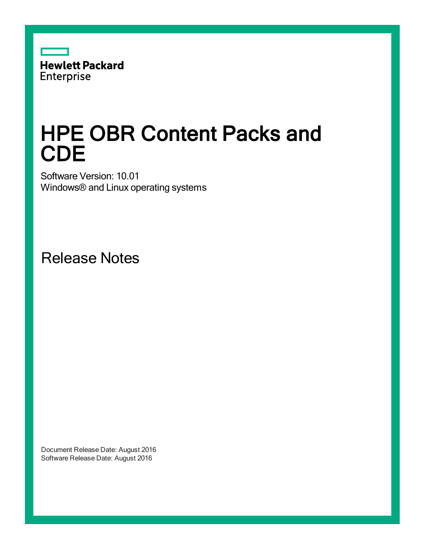

# HPE OBR Content Packs and **CDE**

Software Version: 10.01 Windows® and Linux operating systems

Release Notes

Document Release Date: August 2016 Software Release Date: August 2016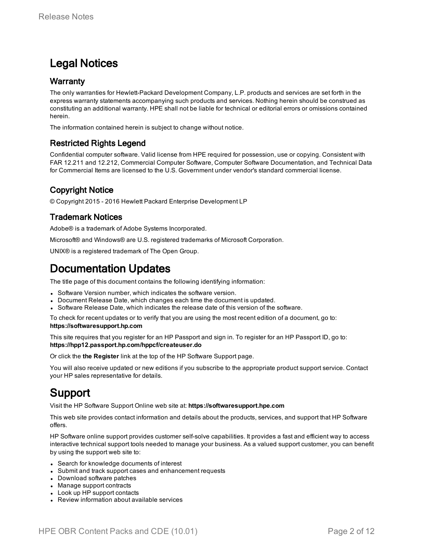### Legal Notices

#### **Warranty**

The only warranties for Hewlett-Packard Development Company, L.P. products and services are set forth in the express warranty statements accompanying such products and services. Nothing herein should be construed as constituting an additional warranty. HPE shall not be liable for technical or editorial errors or omissions contained herein.

The information contained herein is subject to change without notice.

#### Restricted Rights Legend

Confidential computer software. Valid license from HPE required for possession, use or copying. Consistent with FAR 12.211 and 12.212, Commercial Computer Software, Computer Software Documentation, and Technical Data for Commercial Items are licensed to the U.S. Government under vendor's standard commercial license.

#### Copyright Notice

© Copyright 2015 - 2016 Hewlett Packard Enterprise Development LP

#### Trademark Notices

Adobe® is a trademark of Adobe Systems Incorporated.

Microsoft® and Windows® are U.S. registered trademarks of Microsoft Corporation.

UNIX® is a registered trademark of The Open Group.

### Documentation Updates

The title page of this document contains the following identifying information:

- Software Version number, which indicates the software version.
- Document Release Date, which changes each time the document is updated.
- Software Release Date, which indicates the release date of this version of the software.

To check for recent updates or to verify that you are using the most recent edition of a document, go to: **https://softwaresupport.hp.com**

This site requires that you register for an HP Passport and sign in. To register for an HP Passport ID, go to: **https://hpp12.passport.hp.com/hppcf/createuser.do**

Or click the **the Register** link at the top of the HP Software Support page.

You will also receive updated or new editions if you subscribe to the appropriate product support service. Contact your HP sales representative for details.

### Support

Visit the HP Software Support Online web site at: **https://softwaresupport.hpe.com**

This web site provides contact information and details about the products, services, and support that HP Software offers.

HP Software online support provides customer self-solve capabilities. It provides a fast and efficient way to access interactive technical support tools needed to manage your business. As a valued support customer, you can benefit by using the support web site to:

- Search for knowledge documents of interest
- Submit and track support cases and enhancement requests
- Download software patches
- Manage support contracts
- Look up HP support contacts
- Review information about available services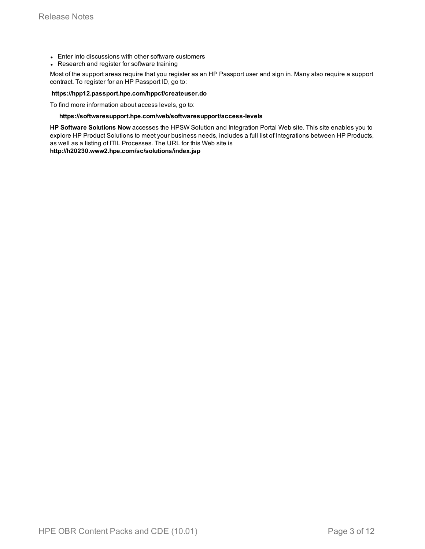- Enter into discussions with other software customers
- Research and register for software training

Most of the support areas require that you register as an HP Passport user and sign in. Many also require a support contract. To register for an HP Passport ID, go to:

#### **https://hpp12.passport.hpe.com/hppcf/createuser.do**

To find more information about access levels, go to:

#### **https://softwaresupport.hpe.com/web/softwaresupport/access-levels**

**HP Software Solutions Now** accesses the HPSW Solution and Integration Portal Web site. This site enables you to explore HP Product Solutions to meet your business needs, includes a full list of Integrations between HP Products, as well as a listing of ITIL Processes. The URL for this Web site is

**http://h20230.www2.hpe.com/sc/solutions/index.jsp**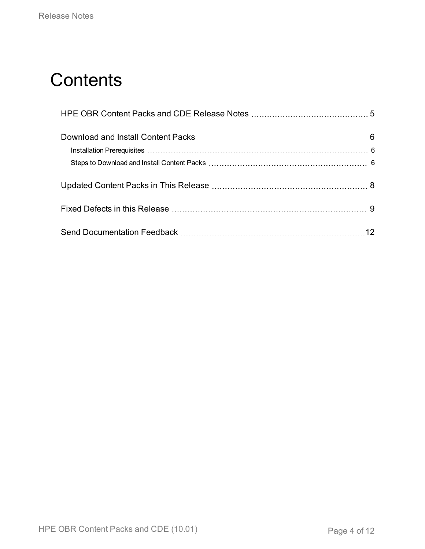## **Contents**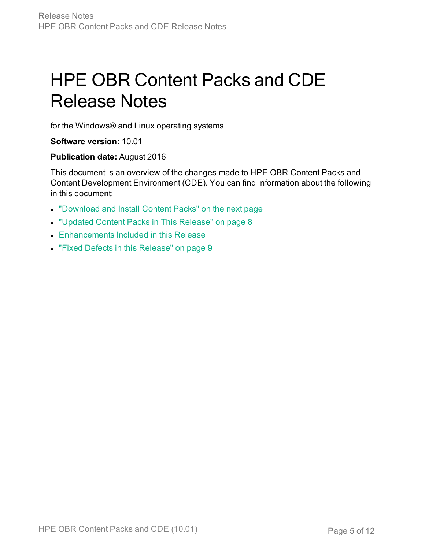# <span id="page-4-0"></span>HPE OBR Content Packs and CDE Release Notes

for the Windows® and Linux operating systems

#### **Software version:** 10.01

#### **Publication date:** August 2016

This document is an overview of the changes made to HPE OBR Content Packs and Content Development Environment (CDE). You can find information about the following in this document:

- ["Download](#page-5-0) and Install Content Packs" on the next page
- ["Updated](#page-7-0) Content Packs in This Release" on page 8
- **Enhancements Included in this Release**
- "Fixed Defects in this [Release"](#page-8-0) on page 9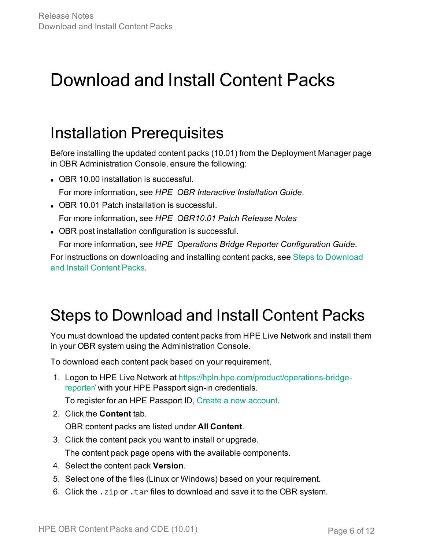## <span id="page-5-0"></span>Download and Install Content Packs

### <span id="page-5-1"></span>Installation Prerequisites

Before installing the updated content packs (10.01) from the Deployment Manager page in OBR Administration Console, ensure the following:

- OBR 10.00 installation is successful. For more information, see *HPE OBR Interactive Installation Guide*.
- OBR 10.01 Patch installation is successful. For more information, see *HPE OBR10.01 Patch Release Notes*
- OBR post installation configuration is successful.

For more information, see *HPE Operations Bridge Reporter Configuration Guide.*

For instructions on downloading and installing content packs, see Steps to [Download](#page-5-2) and Install [Content](#page-5-2) Packs.

### <span id="page-5-2"></span>Steps to Download and Install Content Packs

You must download the updated content packs from HPE Live Network and install them in your OBR system using the Administration Console.

To download each content pack based on your requirement,

1. Logon to HPE Live Network at [https://hpln.hpe.com/product/operations-bridge](https://hpln.hpe.com/product/operations-bridge-reporter/content)[reporter/](https://hpln.hpe.com/product/operations-bridge-reporter/content) with your HPE Passport sign-in credentials.

To register for an HPE Passport ID, Create a new [account.](https://hpp12.passport.hpe.com/hppcf/createuser.do/?hpappid=118635_HPLN_PRO_HPE&lang=en&cc=us&applandingpage=https://hpln.hpe.com/hpp-redirect?goto=/)

2. Click the **Content** tab.

OBR content packs are listed under **All Content**.

- 3. Click the content pack you want to install or upgrade. The content pack page opens with the available components.
- 4. Select the content pack **Version**.
- 5. Select one of the files (Linux or Windows) based on your requirement.
- 6. Click the .zip or .tar files to download and save it to the OBR system.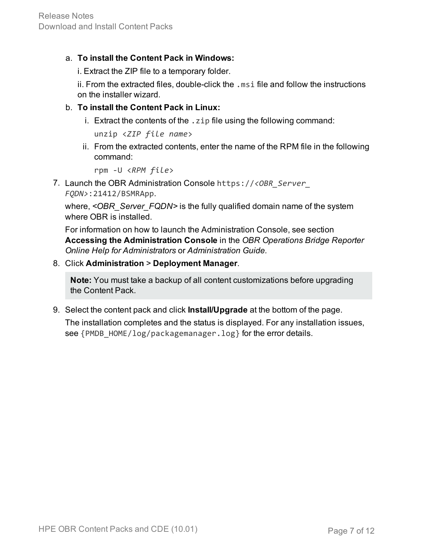#### a. **To install the Content Pack in Windows:**

i. Extract the ZIP file to a temporary folder.

ii. From the extracted files, double-click the .msi file and follow the instructions on the installer wizard.

#### b. **To install the Content Pack in Linux:**

i. Extract the contents of the . zip file using the following command:

```
unzip <ZIP file name>
```
ii. From the extracted contents, enter the name of the RPM file in the following command:

```
rpm -U <RPM file>
```
7. Launch the OBR Administration Console https://*<OBR\_Server\_ FQDN>*:21412/BSMRApp.

where, *<OBR\_Server\_FQDN>* is the fully qualified domain name of the system where OBR is installed.

For information on how to launch the Administration Console, see section **Accessing the Administration Console** in the *OBR Operations Bridge Reporter Online Help for Administrators* or *Administration Guide.*

#### 8. Click **Administration** > **Deployment Manager**.

**Note:** You must take a backup of all content customizations before upgrading the Content Pack.

9. Select the content pack and click **Install/Upgrade** at the bottom of the page. The installation completes and the status is displayed. For any installation issues,

see {PMDB\_HOME/log/packagemanager.log} for the error details.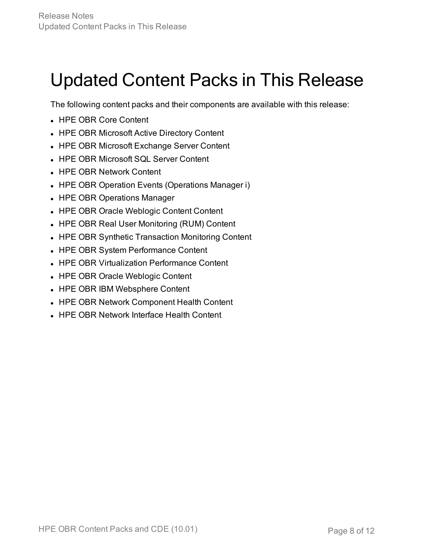## <span id="page-7-0"></span>Updated Content Packs in This Release

The following content packs and their components are available with this release:

- HPE OBR Core Content
- HPE OBR Microsoft Active Directory Content
- HPE OBR Microsoft Exchange Server Content
- HPE OBR Microsoft SQL Server Content
- HPE OBR Network Content
- HPE OBR Operation Events (Operations Manager i)
- HPE OBR Operations Manager
- HPE OBR Oracle Weblogic Content Content
- HPE OBR Real User Monitoring (RUM) Content
- HPE OBR Synthetic Transaction Monitoring Content
- HPE OBR System Performance Content
- HPE OBR Virtualization Performance Content
- HPE OBR Oracle Weblogic Content
- HPE OBR IBM Websphere Content
- HPE OBR Network Component Health Content
- HPE OBR Network Interface Health Content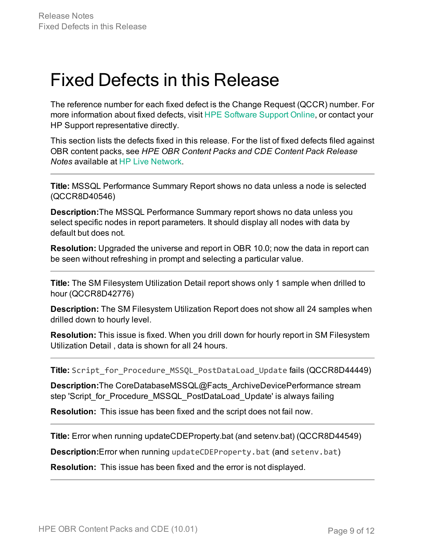### <span id="page-8-0"></span>Fixed Defects in this Release

The reference number for each fixed defect is the Change Request (QCCR) number. For more information about fixed defects, visit HPE [Software](https://softwaresupport.hpe.com/) Support Online, or contact your HP Support representative directly.

This section lists the defects fixed in this release. For the list of fixed defects filed against OBR content packs, see *HPE OBR Content Packs and CDE Content Pack Release Notes* available at HP Live [Network.](https://hpln.hpe.com/)

**Title:** MSSQL Performance Summary Report shows no data unless a node is selected (QCCR8D40546)

**Description:**The MSSQL Performance Summary report shows no data unless you select specific nodes in report parameters. It should display all nodes with data by default but does not.

**Resolution:** Upgraded the universe and report in OBR 10.0; now the data in report can be seen without refreshing in prompt and selecting a particular value.

**Title:** The SM Filesystem Utilization Detail report shows only 1 sample when drilled to hour (QCCR8D42776)

**Description:** The SM Filesystem Utilization Report does not show all 24 samples when drilled down to hourly level.

**Resolution:** This issue is fixed. When you drill down for hourly report in SM Filesystem Utilization Detail , data is shown for all 24 hours.

**Title:** Script\_for\_Procedure\_MSSQL\_PostDataLoad\_Update fails (QCCR8D44449)

**Description:**The CoreDatabaseMSSQL@Facts\_ArchiveDevicePerformance stream step 'Script for Procedure MSSQL PostDataLoad Update' is always failing

**Resolution:** This issue has been fixed and the script does not fail now.

**Title:** Error when running updateCDEProperty.bat (and setenv.bat) (QCCR8D44549)

**Description:**Error when running updateCDEProperty.bat (and setenv.bat)

**Resolution:** This issue has been fixed and the error is not displayed.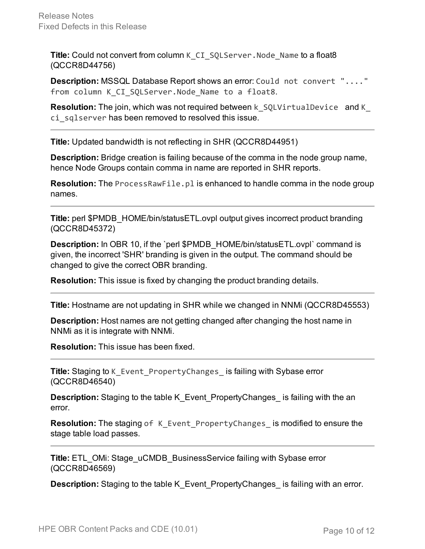**Title:** Could not convert from column K\_CI\_SQLServer.Node\_Name to a float8 (QCCR8D44756)

**Description:** MSSQL Database Report shows an error: Could not convert "...." from column K CI SQLServer.Node Name to a float8.

**Resolution:** The join, which was not required between k SQLVirtualDevice and K ci\_sqlserver has been removed to resolved this issue.

**Title:** Updated bandwidth is not reflecting in SHR (QCCR8D44951)

**Description:** Bridge creation is failing because of the comma in the node group name, hence Node Groups contain comma in name are reported in SHR reports.

**Resolution:** The ProcessRawFile.pl is enhanced to handle comma in the node group names.

**Title:** perl \$PMDB\_HOME/bin/statusETL.ovpl output gives incorrect product branding (QCCR8D45372)

**Description:** In OBR 10, if the 'perl \$PMDB\_HOME/bin/statusETL.ovpl' command is given, the incorrect 'SHR' branding is given in the output. The command should be changed to give the correct OBR branding.

**Resolution:** This issue is fixed by changing the product branding details.

**Title:** Hostname are not updating in SHR while we changed in NNMi (QCCR8D45553)

**Description:** Host names are not getting changed after changing the host name in NNMi as it is integrate with NNMi.

**Resolution:** This issue has been fixed.

**Title:** Staging to K\_Event\_PropertyChanges\_ is failing with Sybase error (QCCR8D46540)

**Description:** Staging to the table K\_Event\_PropertyChanges\_ is failing with the an error.

**Resolution:** The staging of K Event PropertyChanges is modified to ensure the stage table load passes.

**Title:** ETL OMi: Stage uCMDB BusinessService failing with Sybase error (QCCR8D46569)

**Description:** Staging to the table K\_Event\_PropertyChanges\_ is failing with an error.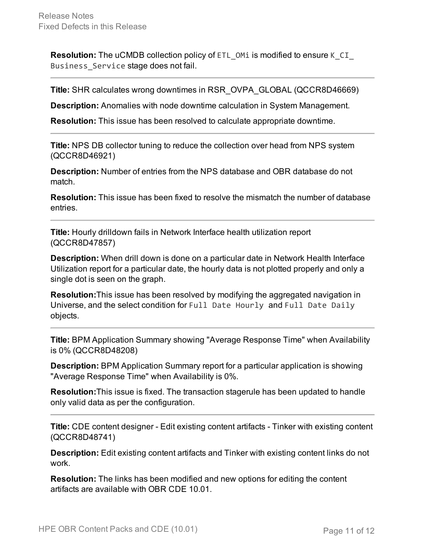**Resolution:** The uCMDB collection policy of ETL\_OMi is modified to ensure K\_CI\_ Business\_Service stage does not fail.

**Title:** SHR calculates wrong downtimes in RSR\_OVPA\_GLOBAL (QCCR8D46669)

**Description:** Anomalies with node downtime calculation in System Management.

**Resolution:** This issue has been resolved to calculate appropriate downtime.

**Title:** NPS DB collector tuning to reduce the collection over head from NPS system (QCCR8D46921)

**Description:** Number of entries from the NPS database and OBR database do not match.

**Resolution:** This issue has been fixed to resolve the mismatch the number of database entries.

**Title:** Hourly drilldown fails in Network Interface health utilization report (QCCR8D47857)

**Description:** When drill down is done on a particular date in Network Health Interface Utilization report for a particular date, the hourly data is not plotted properly and only a single dot is seen on the graph.

**Resolution:**This issue has been resolved by modifying the aggregated navigation in Universe, and the select condition for Full Date Hourly and Full Date Daily objects.

**Title:** BPM Application Summary showing "Average Response Time" when Availability is 0% (QCCR8D48208)

**Description:** BPM Application Summary report for a particular application is showing "Average Response Time" when Availability is 0%.

**Resolution:**This issue is fixed. The transaction stagerule has been updated to handle only valid data as per the configuration.

**Title:** CDE content designer - Edit existing content artifacts - Tinker with existing content (QCCR8D48741)

**Description:** Edit existing content artifacts and Tinker with existing content links do not work.

**Resolution:** The links has been modified and new options for editing the content artifacts are available with OBR CDE 10.01.